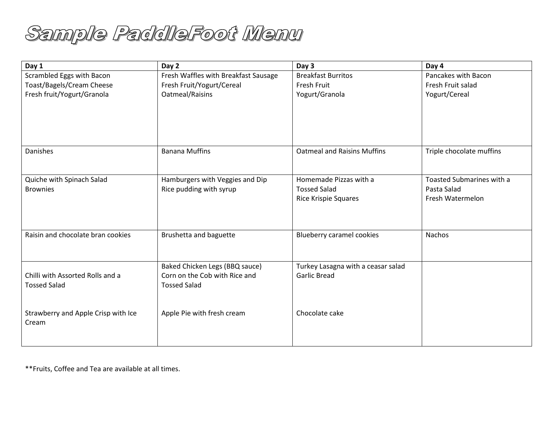

| Day 1                               | Day 2                                | Day 3                              | Day 4                     |
|-------------------------------------|--------------------------------------|------------------------------------|---------------------------|
| Scrambled Eggs with Bacon           | Fresh Waffles with Breakfast Sausage | <b>Breakfast Burritos</b>          | Pancakes with Bacon       |
| Toast/Bagels/Cream Cheese           | Fresh Fruit/Yogurt/Cereal            | <b>Fresh Fruit</b>                 | Fresh Fruit salad         |
| Fresh fruit/Yogurt/Granola          | Oatmeal/Raisins                      | Yogurt/Granola                     | Yogurt/Cereal             |
|                                     |                                      |                                    |                           |
|                                     |                                      |                                    |                           |
|                                     |                                      |                                    |                           |
| Danishes                            | <b>Banana Muffins</b>                | <b>Oatmeal and Raisins Muffins</b> | Triple chocolate muffins  |
|                                     |                                      |                                    |                           |
| Quiche with Spinach Salad           | Hamburgers with Veggies and Dip      | Homemade Pizzas with a             | Toasted Submarines with a |
| <b>Brownies</b>                     | Rice pudding with syrup              | <b>Tossed Salad</b>                | Pasta Salad               |
|                                     |                                      | <b>Rice Krispie Squares</b>        | Fresh Watermelon          |
|                                     |                                      |                                    |                           |
|                                     |                                      |                                    |                           |
| Raisin and chocolate bran cookies   | Brushetta and baguette               | Blueberry caramel cookies          | Nachos                    |
|                                     |                                      |                                    |                           |
|                                     | Baked Chicken Legs (BBQ sauce)       | Turkey Lasagna with a ceasar salad |                           |
| Chilli with Assorted Rolls and a    | Corn on the Cob with Rice and        | <b>Garlic Bread</b>                |                           |
| <b>Tossed Salad</b>                 | <b>Tossed Salad</b>                  |                                    |                           |
|                                     |                                      |                                    |                           |
| Strawberry and Apple Crisp with Ice | Apple Pie with fresh cream           | Chocolate cake                     |                           |
| Cream                               |                                      |                                    |                           |
|                                     |                                      |                                    |                           |
|                                     |                                      |                                    |                           |

\*\*Fruits, Coffee and Tea are available at all times.